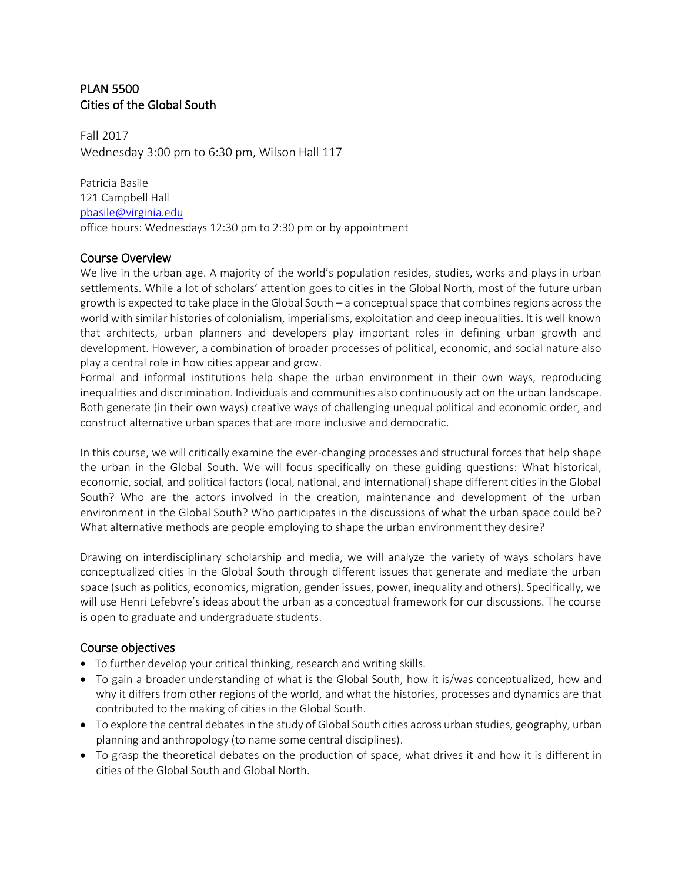## PLAN 5500 Cities of the Global South

Fall 2017 Wednesday 3:00 pm to 6:30 pm, Wilson Hall 117

Patricia Basile 121 Campbell Hall [pbasile@virginia.edu](mailto:pbasile@virginia.edu) office hours: Wednesdays 12:30 pm to 2:30 pm or by appointment

## Course Overview

We live in the urban age. A majority of the world's population resides, studies, works and plays in urban settlements. While a lot of scholars' attention goes to cities in the Global North, most of the future urban growth is expected to take place in the Global South – a conceptual space that combines regions across the world with similar histories of colonialism, imperialisms, exploitation and deep inequalities. It is well known that architects, urban planners and developers play important roles in defining urban growth and development. However, a combination of broader processes of political, economic, and social nature also play a central role in how cities appear and grow.

Formal and informal institutions help shape the urban environment in their own ways, reproducing inequalities and discrimination. Individuals and communities also continuously act on the urban landscape. Both generate (in their own ways) creative ways of challenging unequal political and economic order, and construct alternative urban spaces that are more inclusive and democratic.

In this course, we will critically examine the ever-changing processes and structural forces that help shape the urban in the Global South. We will focus specifically on these guiding questions: What historical, economic, social, and political factors (local, national, and international) shape different cities in the Global South? Who are the actors involved in the creation, maintenance and development of the urban environment in the Global South? Who participates in the discussions of what the urban space could be? What alternative methods are people employing to shape the urban environment they desire?

Drawing on interdisciplinary scholarship and media, we will analyze the variety of ways scholars have conceptualized cities in the Global South through different issues that generate and mediate the urban space (such as politics, economics, migration, gender issues, power, inequality and others). Specifically, we will use Henri Lefebvre's ideas about the urban as a conceptual framework for our discussions. The course is open to graduate and undergraduate students.

## Course objectives

- To further develop your critical thinking, research and writing skills.
- To gain a broader understanding of what is the Global South, how it is/was conceptualized, how and why it differs from other regions of the world, and what the histories, processes and dynamics are that contributed to the making of cities in the Global South.
- To explore the central debates in the study of Global South cities across urban studies, geography, urban planning and anthropology (to name some central disciplines).
- To grasp the theoretical debates on the production of space, what drives it and how it is different in cities of the Global South and Global North.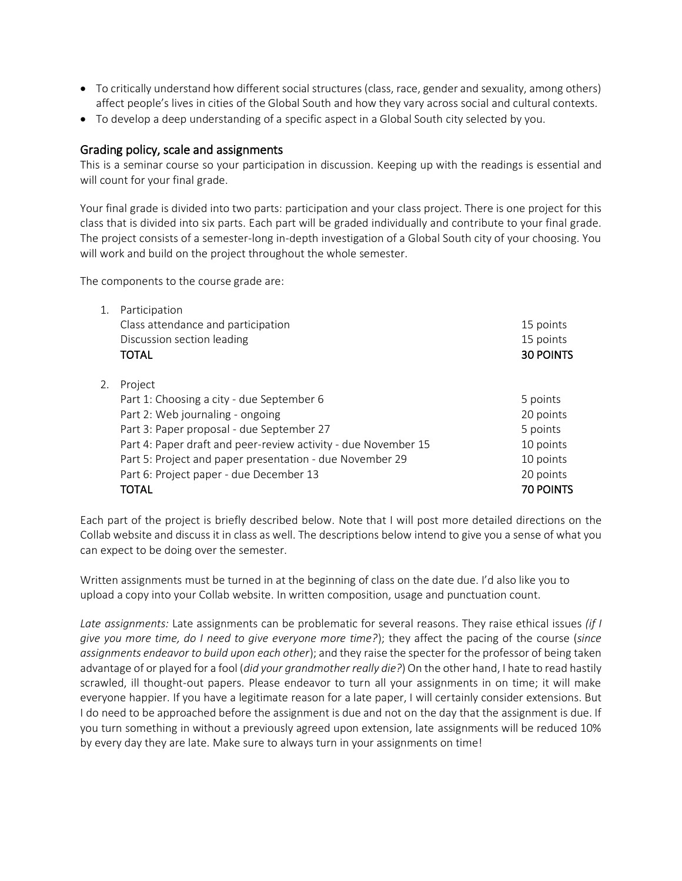- To critically understand how different social structures (class, race, gender and sexuality, among others) affect people's lives in cities of the Global South and how they vary across social and cultural contexts.
- To develop a deep understanding of a specific aspect in a Global South city selected by you.

#### Grading policy, scale and assignments

This is a seminar course so your participation in discussion. Keeping up with the readings is essential and will count for your final grade.

Your final grade is divided into two parts: participation and your class project. There is one project for this class that is divided into six parts. Each part will be graded individually and contribute to your final grade. The project consists of a semester-long in-depth investigation of a Global South city of your choosing. You will work and build on the project throughout the whole semester.

The components to the course grade are:

| 1. | Participation                                                  |                  |
|----|----------------------------------------------------------------|------------------|
|    | Class attendance and participation                             | 15 points        |
|    | Discussion section leading                                     | 15 points        |
|    | <b>TOTAL</b>                                                   | <b>30 POINTS</b> |
|    |                                                                |                  |
| 2. | Project                                                        |                  |
|    | Part 1: Choosing a city - due September 6                      | 5 points         |
|    | Part 2: Web journaling - ongoing                               | 20 points        |
|    | Part 3: Paper proposal - due September 27                      | 5 points         |
|    | Part 4: Paper draft and peer-review activity - due November 15 | 10 points        |
|    | Part 5: Project and paper presentation - due November 29       | 10 points        |
|    | Part 6: Project paper - due December 13                        | 20 points        |
|    | TOTAL                                                          | <b>70 POINTS</b> |

Each part of the project is briefly described below. Note that I will post more detailed directions on the Collab website and discuss it in class as well. The descriptions below intend to give you a sense of what you can expect to be doing over the semester.

Written assignments must be turned in at the beginning of class on the date due. I'd also like you to upload a copy into your Collab website. In written composition, usage and punctuation count.

*Late assignments:* Late assignments can be problematic for several reasons. They raise ethical issues *(if I give you more time, do I need to give everyone more time?*); they affect the pacing of the course (*since assignments endeavor to build upon each other*); and they raise the specter for the professor of being taken advantage of or played for a fool (*did your grandmother really die?*) On the other hand, I hate to read hastily scrawled, ill thought-out papers. Please endeavor to turn all your assignments in on time; it will make everyone happier. If you have a legitimate reason for a late paper, I will certainly consider extensions. But I do need to be approached before the assignment is due and not on the day that the assignment is due. If you turn something in without a previously agreed upon extension, late assignments will be reduced 10% by every day they are late. Make sure to always turn in your assignments on time!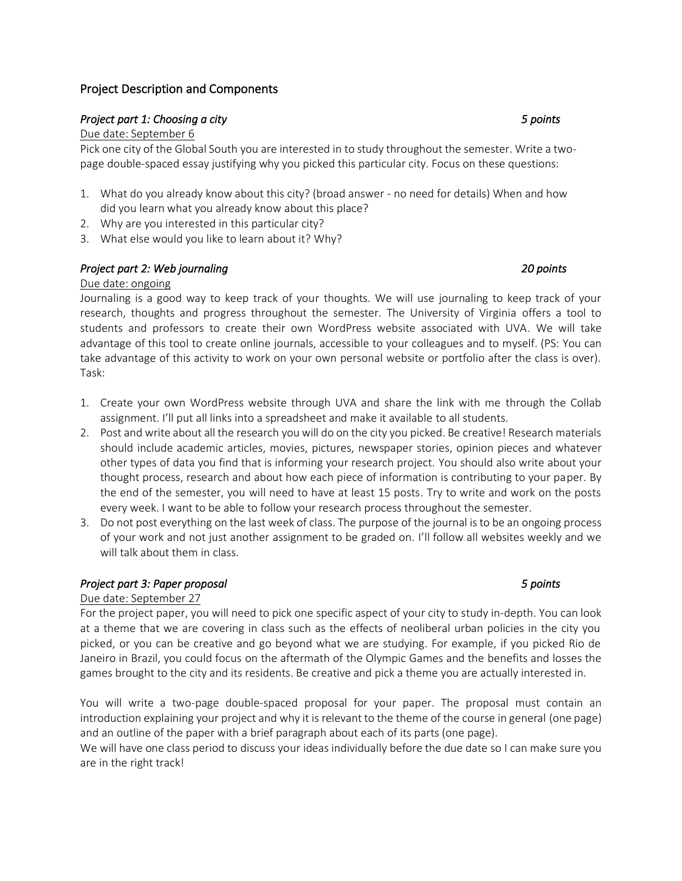## Project Description and Components

#### *Project part 1: Choosing a city 5 points*

#### Due date: September 6

Pick one city of the Global South you are interested in to study throughout the semester. Write a twopage double-spaced essay justifying why you picked this particular city. Focus on these questions:

- 1. What do you already know about this city? (broad answer no need for details) When and how did you learn what you already know about this place?
- 2. Why are you interested in this particular city?
- 3. What else would you like to learn about it? Why?

## *Project part 2: Web journaling 20 points*

#### Due date: ongoing

Journaling is a good way to keep track of your thoughts. We will use journaling to keep track of your research, thoughts and progress throughout the semester. The University of Virginia offers a tool to students and professors to create their own WordPress website associated with UVA. We will take advantage of this tool to create online journals, accessible to your colleagues and to myself. (PS: You can take advantage of this activity to work on your own personal website or portfolio after the class is over). Task:

- 1. Create your own WordPress website through UVA and share the link with me through the Collab assignment. I'll put all links into a spreadsheet and make it available to all students.
- 2. Post and write about all the research you will do on the city you picked. Be creative! Research materials should include academic articles, movies, pictures, newspaper stories, opinion pieces and whatever other types of data you find that is informing your research project. You should also write about your thought process, research and about how each piece of information is contributing to your paper. By the end of the semester, you will need to have at least 15 posts. Try to write and work on the posts every week. I want to be able to follow your research process throughout the semester.
- 3. Do not post everything on the last week of class. The purpose of the journal is to be an ongoing process of your work and not just another assignment to be graded on. I'll follow all websites weekly and we will talk about them in class.

## *Project part 3: Paper proposal 5 points*

#### Due date: September 27

For the project paper, you will need to pick one specific aspect of your city to study in-depth. You can look at a theme that we are covering in class such as the effects of neoliberal urban policies in the city you picked, or you can be creative and go beyond what we are studying. For example, if you picked Rio de Janeiro in Brazil, you could focus on the aftermath of the Olympic Games and the benefits and losses the games brought to the city and its residents. Be creative and pick a theme you are actually interested in.

You will write a two-page double-spaced proposal for your paper. The proposal must contain an introduction explaining your project and why it is relevant to the theme of the course in general (one page) and an outline of the paper with a brief paragraph about each of its parts (one page).

We will have one class period to discuss your ideas individually before the due date so I can make sure you are in the right track!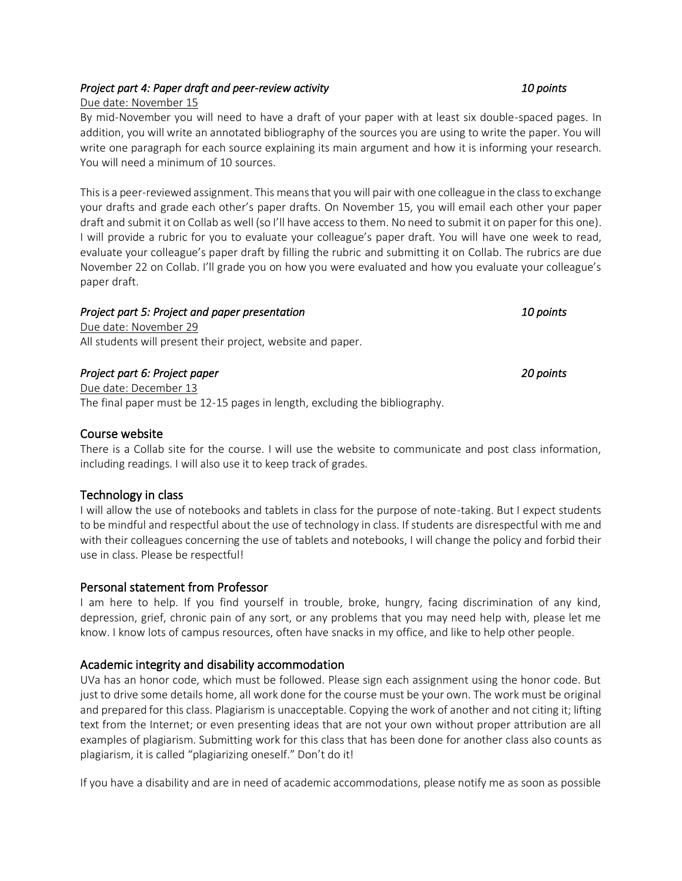## *Project part 4: Paper draft and peer-review activity 10 points*

## Due date: November 15

By mid-November you will need to have a draft of your paper with at least six double-spaced pages. In addition, you will write an annotated bibliography of the sources you are using to write the paper. You will write one paragraph for each source explaining its main argument and how it is informing your research. You will need a minimum of 10 sources.

This is a peer-reviewed assignment. This means that you will pair with one colleague in the class to exchange your drafts and grade each other's paper drafts. On November 15, you will email each other your paper draft and submit it on Collab as well (so I'll have access to them. No need to submit it on paper for this one). I will provide a rubric for you to evaluate your colleague's paper draft. You will have one week to read, evaluate your colleague's paper draft by filling the rubric and submitting it on Collab. The rubrics are due November 22 on Collab. I'll grade you on how you were evaluated and how you evaluate your colleague's paper draft.

#### *Project part 5: Project and paper presentation 10 points*

Due date: November 29 All students will present their project, website and paper.

## *Project part 6: Project paper 20 points*

Due date: December 13 The final paper must be 12-15 pages in length, excluding the bibliography.

## Course website

There is a Collab site for the course. I will use the website to communicate and post class information, including readings. I will also use it to keep track of grades.

## Technology in class

I will allow the use of notebooks and tablets in class for the purpose of note-taking. But I expect students to be mindful and respectful about the use of technology in class. If students are disrespectful with me and with their colleagues concerning the use of tablets and notebooks, I will change the policy and forbid their use in class. Please be respectful!

## Personal statement from Professor

I am here to help. If you find yourself in trouble, broke, hungry, facing discrimination of any kind, depression, grief, chronic pain of any sort, or any problems that you may need help with, please let me know. I know lots of campus resources, often have snacks in my office, and like to help other people.

## Academic integrity and disability accommodation

UVa has an honor code, which must be followed. Please sign each assignment using the honor code. But just to drive some details home, all work done for the course must be your own. The work must be original and prepared for this class. Plagiarism is unacceptable. Copying the work of another and not citing it; lifting text from the Internet; or even presenting ideas that are not your own without proper attribution are all examples of plagiarism. Submitting work for this class that has been done for another class also counts as plagiarism, it is called "plagiarizing oneself." Don't do it!

If you have a disability and are in need of academic accommodations, please notify me as soon as possible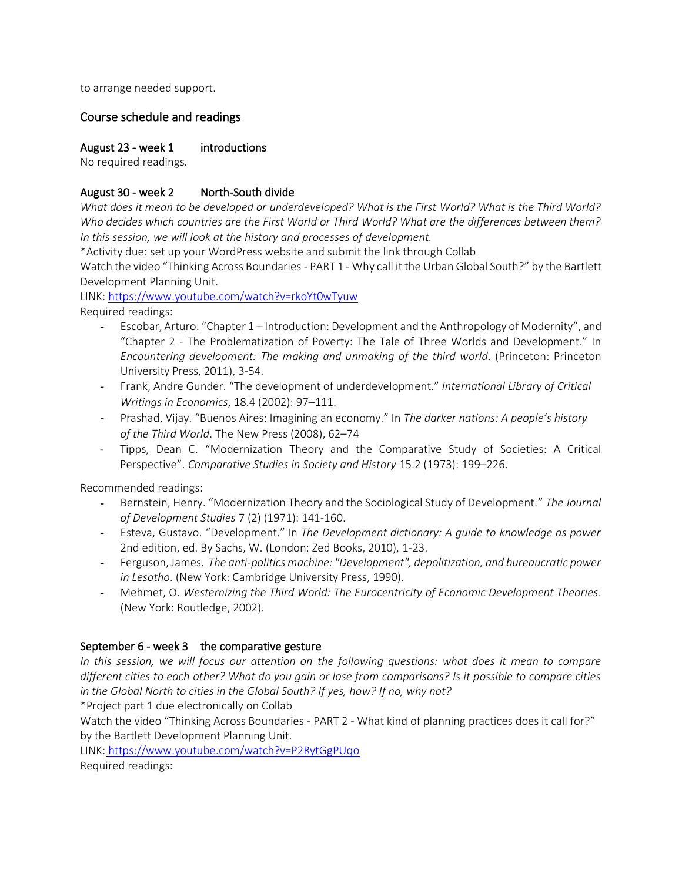to arrange needed support.

## Course schedule and readings

#### August 23 - week 1 introductions

No required readings.

#### August 30 - week 2 North-South divide

*What does it mean to be developed or underdeveloped? What is the First World? What is the Third World? Who decides which countries are the First World or Third World? What are the differences between them? In this session, we will look at the history and processes of development.*

\*Activity due: set up your WordPress website and submit the link through Collab

Watch the video "Thinking Across Boundaries - PART 1 - Why call it the Urban Global South?" by the Bartlett Development Planning Unit.

LINK:<https://www.youtube.com/watch?v=rkoYt0wTyuw> Required readings:

- Escobar, Arturo. "Chapter 1 Introduction: Development and the Anthropology of Modernity", and "Chapter 2 - The Problematization of Poverty: The Tale of Three Worlds and Development." In *Encountering development: The making and unmaking of the third world*. (Princeton: Princeton University Press, 2011), 3-54.
- Frank, Andre Gunder. "The development of underdevelopment." *International Library of Critical Writings in Economics*, 18.4 (2002): 97–111.
- Prashad, Vijay. "Buenos Aires: Imagining an economy." In *The darker nations: A people's history of the Third World*. The New Press (2008), 62–74
- Tipps, Dean C. "Modernization Theory and the Comparative Study of Societies: A Critical Perspective". *Comparative Studies in Society and History* 15.2 (1973): 199–226.

Recommended readings:

- Bernstein, Henry. "Modernization Theory and the Sociological Study of Development." *The Journal of Development Studies* 7 (2) (1971): 141-160.
- Esteva, Gustavo. "Development." In *The Development dictionary: A guide to knowledge as power* 2nd edition, ed. By Sachs, W. (London: Zed Books, 2010), 1-23.
- Ferguson, James. *The anti-politics machine: "Development", depolitization, and bureaucratic power in Lesotho*. (New York: Cambridge University Press, 1990).
- Mehmet, O. *Westernizing the Third World: The Eurocentricity of Economic Development Theories*. (New York: Routledge, 2002).

#### September 6 - week 3 the comparative gesture

*In this session, we will focus our attention on the following questions: what does it mean to compare different cities to each other? What do you gain or lose from comparisons? Is it possible to compare cities in the Global North to cities in the Global South? If yes, how? If no, why not?*

\*Project part 1 due electronically on Collab

Watch the video "Thinking Across Boundaries - PART 2 - What kind of planning practices does it call for?" by the Bartlett Development Planning Unit.

LINK: <https://www.youtube.com/watch?v=P2RytGgPUqo>

Required readings: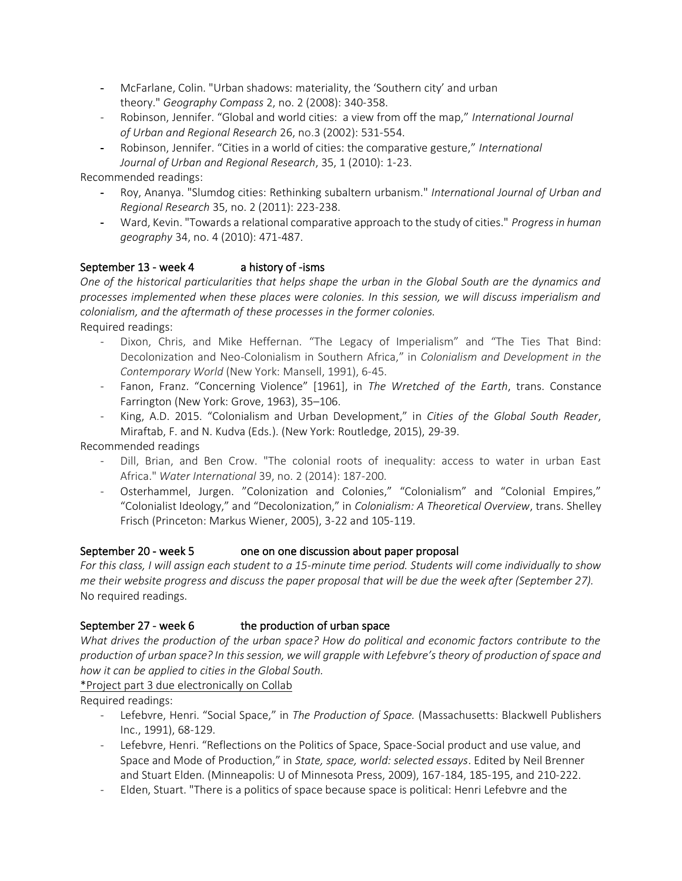- McFarlane, Colin. "Urban shadows: materiality, the 'Southern city' and urban theory." *Geography Compass* 2, no. 2 (2008): 340-358.
- Robinson, Jennifer. "Global and world cities: a view from off the map," *International Journal of Urban and Regional Research* 26, no.3 (2002): 531-554.
- Robinson, Jennifer. "Cities in a world of cities: the comparative gesture," *International Journal of Urban and Regional Research*, 35, 1 (2010): 1-23.

Recommended readings:

- Roy, Ananya. "Slumdog cities: Rethinking subaltern urbanism." *International Journal of Urban and Regional Research* 35, no. 2 (2011): 223-238.
- Ward, Kevin. "Towards a relational comparative approach to the study of cities." *Progress in human geography* 34, no. 4 (2010): 471-487.

## September 13 - week 4 a history of -isms

*One of the historical particularities that helps shape the urban in the Global South are the dynamics and processes implemented when these places were colonies. In this session, we will discuss imperialism and colonialism, and the aftermath of these processes in the former colonies.* Required readings:

- Dixon, Chris, and Mike Heffernan. "The Legacy of Imperialism" and "The Ties That Bind: Decolonization and Neo-Colonialism in Southern Africa," in *Colonialism and Development in the Contemporary World* (New York: Mansell, 1991), 6-45.
- Fanon, Franz. "Concerning Violence" [1961], in *The Wretched of the Earth*, trans. Constance Farrington (New York: Grove, 1963), 35–106.
- King, A.D. 2015. "Colonialism and Urban Development," in *Cities of the Global South Reader*, Miraftab, F. and N. Kudva (Eds.). (New York: Routledge, 2015), 29-39.

Recommended readings

- Dill, Brian, and Ben Crow. "The colonial roots of inequality: access to water in urban East Africa." *Water International* 39, no. 2 (2014): 187-200.
- Osterhammel, Jurgen. "Colonization and Colonies," "Colonialism" and "Colonial Empires," "Colonialist Ideology," and "Decolonization," in *Colonialism: A Theoretical Overview*, trans. Shelley Frisch (Princeton: Markus Wiener, 2005), 3-22 and 105-119.

## September 20 - week 5 one on one discussion about paper proposal

*For this class, I will assign each student to a 15-minute time period. Students will come individually to show me their website progress and discuss the paper proposal that will be due the week after (September 27).* No required readings.

## September 27 - week 6 the production of urban space

*What drives the production of the urban space? How do political and economic factors contribute to the production of urban space? In this session, we will grapple with Lefebvre's theory of production of space and how it can be applied to cities in the Global South.*

\*Project part 3 due electronically on Collab

Required readings:

- Lefebvre, Henri. "Social Space," in *The Production of Space.* (Massachusetts: Blackwell Publishers Inc., 1991), 68-129.
- Lefebvre, Henri. "Reflections on the Politics of Space, Space-Social product and use value, and Space and Mode of Production," in *State, space, world: selected essays*. Edited by Neil Brenner and Stuart Elden. (Minneapolis: U of Minnesota Press, 2009), 167-184, 185-195, and 210-222.
- Elden, Stuart. "There is a politics of space because space is political: Henri Lefebvre and the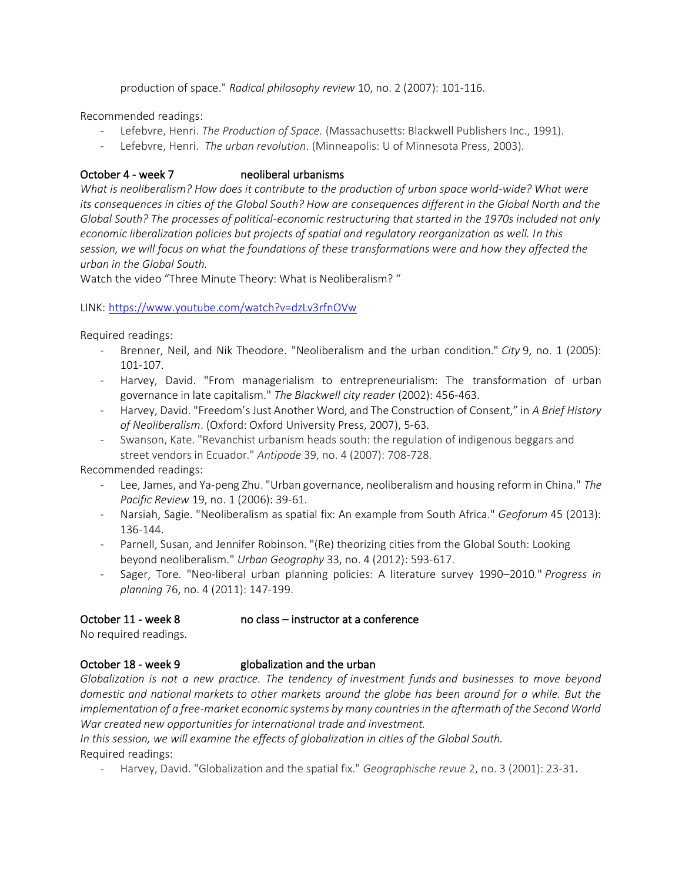production of space." *Radical philosophy review* 10, no. 2 (2007): 101-116.

Recommended readings:

- Lefebvre, Henri. *The Production of Space.* (Massachusetts: Blackwell Publishers Inc., 1991).
- Lefebvre, Henri. *The urban revolution*. (Minneapolis: U of Minnesota Press, 2003).

#### October 4 - week 7 neoliberal urbanisms

*What is neoliberalism? How does it contribute to the production of urban space world-wide? What were its consequences in cities of the Global South? How are consequences different in the Global North and the Global South? The processes of political-economic restructuring that started in the 1970s included not only economic liberalization policies but projects of spatial and regulatory reorganization as well. In this session, we will focus on what the foundations of these transformations were and how they affected the urban in the Global South.*

Watch the video "Three Minute Theory: What is Neoliberalism? "

#### LINK: <https://www.youtube.com/watch?v=dzLv3rfnOVw>

Required readings:

- Brenner, Neil, and Nik Theodore. "Neoliberalism and the urban condition." *City* 9, no. 1 (2005): 101-107.
- Harvey, David. "From managerialism to entrepreneurialism: The transformation of urban governance in late capitalism." *The Blackwell city reader* (2002): 456-463.
- Harvey, David. "Freedom's Just Another Word, and The Construction of Consent," in *A Brief History of Neoliberalism*. (Oxford: Oxford University Press, 2007), 5-63.
- Swanson, Kate. "Revanchist urbanism heads south: the regulation of indigenous beggars and street vendors in Ecuador." *Antipode* 39, no. 4 (2007): 708-728.

Recommended readings:

- Lee, James, and Ya-peng Zhu. "Urban governance, neoliberalism and housing reform in China." *The Pacific Review* 19, no. 1 (2006): 39-61.
- Narsiah, Sagie. "Neoliberalism as spatial fix: An example from South Africa." *Geoforum* 45 (2013): 136-144.
- Parnell, Susan, and Jennifer Robinson. "(Re) theorizing cities from the Global South: Looking beyond neoliberalism." *Urban Geography* 33, no. 4 (2012): 593-617.
- Sager, Tore. "Neo-liberal urban planning policies: A literature survey 1990–2010." *Progress in planning* 76, no. 4 (2011): 147-199.

## October 11 - week 8 no class – instructor at a conference

No required readings.

## October 18 - week 9 globalization and the urban

*Globalization is not a new practice. The tendency of [investment funds](http://www.investopedia.com/terms/i/investment-fund.asp) and businesses to move beyond domestic and national [markets](http://www.investopedia.com/terms/m/market.asp) to other markets around the globe has been around for a while. But the implementation of a free-market economic systems by many countries in the aftermath of the Second World War created new opportunities for international trade and investment.* 

*In this session, we will examine the effects of globalization in cities of the Global South.*

Required readings:

- Harvey, David. "Globalization and the spatial fix." *Geographische revue* 2, no. 3 (2001): 23-31.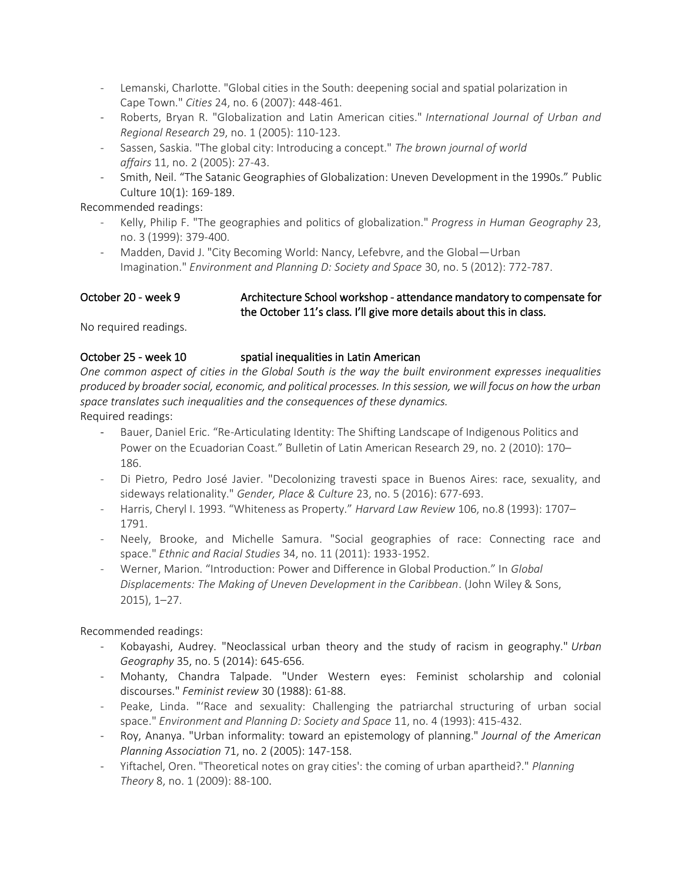- Lemanski, Charlotte. "Global cities in the South: deepening social and spatial polarization in Cape Town." *Cities* 24, no. 6 (2007): 448-461.
- Roberts, Bryan R. "Globalization and Latin American cities." *International Journal of Urban and Regional Research* 29, no. 1 (2005): 110-123.
- Sassen, Saskia. "The global city: Introducing a concept." *The brown journal of world affairs* 11, no. 2 (2005): 27-43.
- Smith, Neil. "The Satanic Geographies of Globalization: Uneven Development in the 1990s." Public Culture 10(1): 169-189.

Recommended readings:

- Kelly, Philip F. "The geographies and politics of globalization." *Progress in Human Geography* 23, no. 3 (1999): 379-400.
- Madden, David J. "City Becoming World: Nancy, Lefebvre, and the Global—Urban Imagination." *Environment and Planning D: Society and Space* 30, no. 5 (2012): 772-787.

#### October 20 - week 9 Architecture School workshop - attendance mandatory to compensate for the October 11's class. I'll give more details about this in class.

No required readings.

## October 25 - week 10 spatial inequalities in Latin American

*One common aspect of cities in the Global South is the way the built environment expresses inequalities produced by broader social, economic, and political processes. In this session, we will focus on how the urban space translates such inequalities and the consequences of these dynamics.*

Required readings:

- Bauer, Daniel Eric. "Re-Articulating Identity: The Shifting Landscape of Indigenous Politics and Power on the Ecuadorian Coast." Bulletin of Latin American Research 29, no. 2 (2010): 170– 186.
- Di Pietro, Pedro José Javier. "Decolonizing travesti space in Buenos Aires: race, sexuality, and sideways relationality." *Gender, Place & Culture* 23, no. 5 (2016): 677-693.
- Harris, Cheryl I. 1993. "Whiteness as Property." *Harvard Law Review* 106, no.8 (1993): 1707– 1791.
- Neely, Brooke, and Michelle Samura. "Social geographies of race: Connecting race and space." *Ethnic and Racial Studies* 34, no. 11 (2011): 1933-1952.
- Werner, Marion. "Introduction: Power and Difference in Global Production." In *Global Displacements: The Making of Uneven Development in the Caribbean*. (John Wiley & Sons, 2015), 1–27.

Recommended readings:

- Kobayashi, Audrey. "Neoclassical urban theory and the study of racism in geography." *Urban Geography* 35, no. 5 (2014): 645-656.
- Mohanty, Chandra Talpade. "Under Western eyes: Feminist scholarship and colonial discourses." *Feminist review* 30 (1988): 61-88.
- Peake, Linda. "'Race and sexuality: Challenging the patriarchal structuring of urban social space." *Environment and Planning D: Society and Space* 11, no. 4 (1993): 415-432.
- Roy, Ananya. "Urban informality: toward an epistemology of planning." *Journal of the American Planning Association* 71, no. 2 (2005): 147-158.
- Yiftachel, Oren. "Theoretical notes on gray cities': the coming of urban apartheid?." *Planning Theory* 8, no. 1 (2009): 88-100.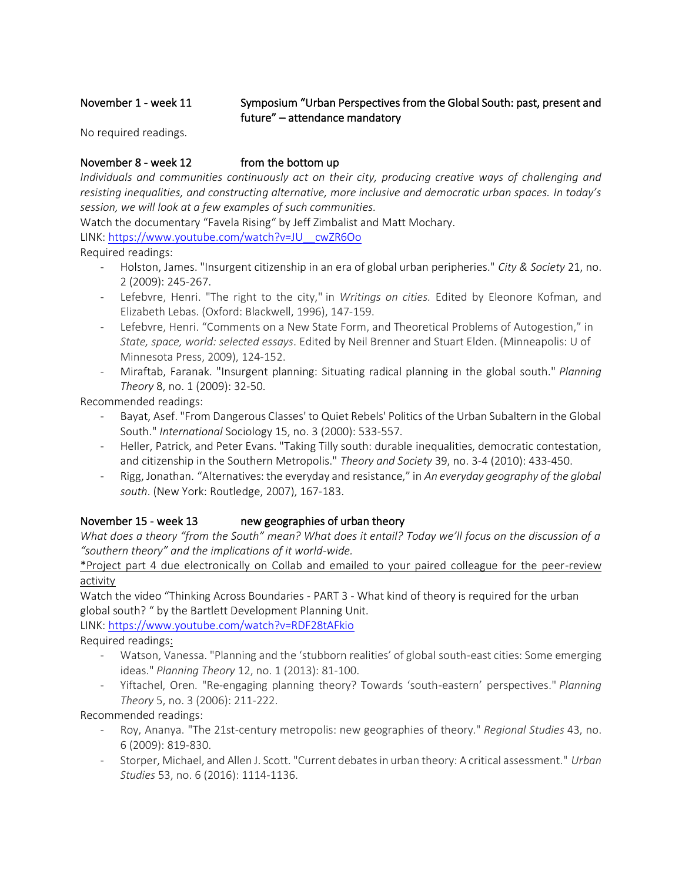## November 1 - week 11 Symposium "Urban Perspectives from the Global South: past, present and future" – attendance mandatory

No required readings.

## November 8 - week 12 from the bottom up

*Individuals and communities continuously act on their city, producing creative ways of challenging and resisting inequalities, and constructing alternative, more inclusive and democratic urban spaces. In today's session, we will look at a few examples of such communities.*

Watch the documentary "Favela Rising" by [Jeff Zimbalist](https://www.google.com/search?rlz=1C1CHZL_enUS754US755&q=Jeff+Zimbalist&stick=H4sIAAAAAAAAAOPgE-LUz9U3SEtKyS5UAjOTDMuM0rTEspOt9NMyc3LBhFVKZlFqckl-EQBauMSTMAAAAA&sa=X&ved=0ahUKEwjdvL7k3M3VAhVHl1QKHX8TApoQmxMIlAEoATAR) and [Matt Mochary.](https://www.google.com/search?rlz=1C1CHZL_enUS754US755&q=Matthew+Mochary&stick=H4sIAAAAAAAAAOPgE-LUz9U3SEtKyS5U4gIxk1JKctKqtMSyk6300zJzcsGEVUpmUWpySX4RAJ0NHnoxAAAA&sa=X&ved=0ahUKEwjdvL7k3M3VAhVHl1QKHX8TApoQmxMIlQEoAjAR)

LINK: [https://www.youtube.com/watch?v=JU\\_\\_cwZR6Oo](https://www.youtube.com/watch?v=JU__cwZR6Oo)

Required readings:

- Holston, James. "Insurgent citizenship in an era of global urban peripheries." *City & Society* 21, no. 2 (2009): 245-267.
- Lefebvre, Henri. "The right to the city," in *Writings on cities.* Edited by Eleonore Kofman, and Elizabeth Lebas. (Oxford: Blackwell, 1996), 147-159.
- Lefebvre, Henri. "Comments on a New State Form, and Theoretical Problems of Autogestion," in *State, space, world: selected essays*. Edited by Neil Brenner and Stuart Elden. (Minneapolis: U of Minnesota Press, 2009), 124-152.
- Miraftab, Faranak. "Insurgent planning: Situating radical planning in the global south." *Planning Theory* 8, no. 1 (2009): 32-50.

Recommended readings:

- Bayat, Asef. "From Dangerous Classes' to Quiet Rebels' Politics of the Urban Subaltern in the Global South." *International* Sociology 15, no. 3 (2000): 533-557.
- Heller, Patrick, and Peter Evans. "Taking Tilly south: durable inequalities, democratic contestation, and citizenship in the Southern Metropolis." *Theory and Society* 39, no. 3-4 (2010): 433-450.
- Rigg, Jonathan. "Alternatives: the everyday and resistance," in *An everyday geography of the global south*. (New York: Routledge, 2007), 167-183.

## November 15 - week 13 new geographies of urban theory

*What does a theory "from the South" mean? What does it entail? Today we'll focus on the discussion of a "southern theory" and the implications of it world-wide.*

\*Project part 4 due electronically on Collab and emailed to your paired colleague for the peer-review activity

Watch the video "Thinking Across Boundaries - PART 3 - What kind of theory is required for the urban global south? " by the Bartlett Development Planning Unit.

LINK:<https://www.youtube.com/watch?v=RDF28tAFkio>

Required readings:

- Watson, Vanessa. "Planning and the 'stubborn realities' of global south-east cities: Some emerging ideas." *Planning Theory* 12, no. 1 (2013): 81-100.
- Yiftachel, Oren. "Re-engaging planning theory? Towards 'south-eastern' perspectives." *Planning Theory* 5, no. 3 (2006): 211-222.

Recommended readings:

- Roy, Ananya. "The 21st-century metropolis: new geographies of theory." *Regional Studies* 43, no. 6 (2009): 819-830.
- Storper, Michael, and Allen J. Scott. "Current debates in urban theory: A critical assessment." *Urban Studies* 53, no. 6 (2016): 1114-1136.